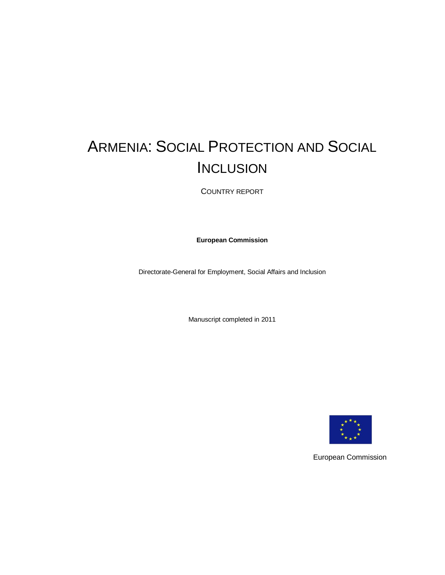# ARMENIA: SOCIAL PROTECTION AND SOCIAL **INCLUSION**

COUNTRY REPORT

**European Commission**

Directorate-General for Employment, Social Affairs and Inclusion

Manuscript completed in 2011



European Commission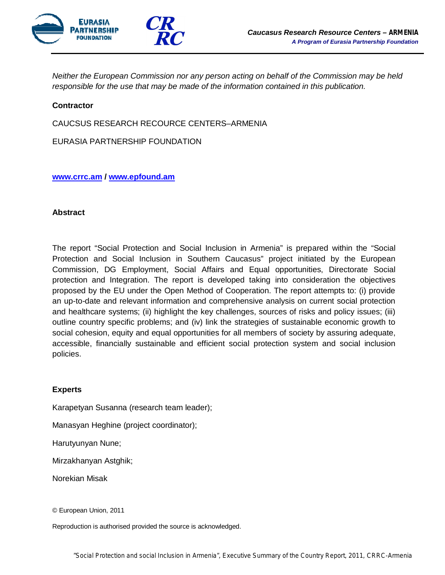

*Neither the European Commission nor any person acting on behalf of the Commission may be held responsible for the use that may be made of the information contained in this publication.*

#### **Contractor**

CAUCSUS RESEARCH RECOURCE CENTERS–ARMENIA

EURASIA PARTNERSHIP FOUNDATION

#### **www.crrc.am / www.epfound.am**

#### **Abstract**

The report "Social Protection and Social Inclusion in Armenia" is prepared within the "Social Protection and Social Inclusion in Southern Caucasus" project initiated by the European Commission, DG Employment, Social Affairs and Equal opportunities, Directorate Social protection and Integration. The report is developed taking into consideration the objectives proposed by the EU under the Open Method of Cooperation. The report attempts to: (i) provide an up-to-date and relevant information and comprehensive analysis on current social protection and healthcare systems; (ii) highlight the key challenges, sources of risks and policy issues; (iii) outline country specific problems; and (iv) link the strategies of sustainable economic growth to social cohesion, equity and equal opportunities for all members of society by assuring adequate, accessible, financially sustainable and efficient social protection system and social inclusion policies.

#### **Experts**

Karapetyan Susanna (research team leader);

Manasyan Heghine (project coordinator);

Harutyunyan Nune;

Mirzakhanyan Astghik;

Norekian Misak

© European Union, 2011

Reproduction is authorised provided the source is acknowledged.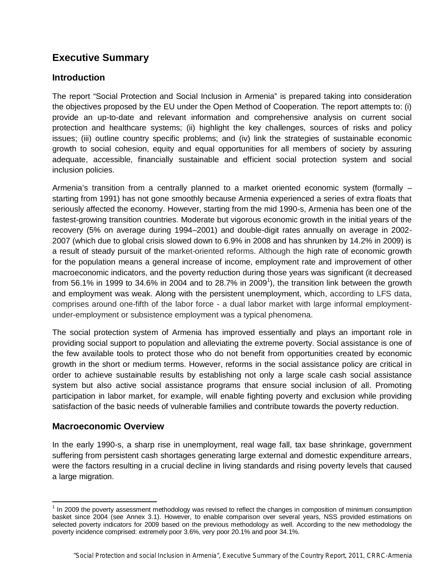## **Executive Summary**

## **Introduction**

The report "Social Protection and Social Inclusion in Armenia" is prepared taking into consideration the objectives proposed by the EU under the Open Method of Cooperation. The report attempts to: (i) provide an up-to-date and relevant information and comprehensive analysis on current social protection and healthcare systems; (ii) highlight the key challenges, sources of risks and policy issues; (iii) outline country specific problems; and (iv) link the strategies of sustainable economic growth to social cohesion, equity and equal opportunities for all members of society by assuring adequate, accessible, financially sustainable and efficient social protection system and social inclusion policies.

Armenia's transition from a centrally planned to a market oriented economic system (formally – starting from 1991) has not gone smoothly because Armenia experienced a series of extra floats that seriously affected the economy. However, starting from the mid 1990-s, Armenia has been one of the fastest-growing transition countries. Moderate but vigorous economic growth in the initial years of the recovery (5% on average during 1994–2001) and double-digit rates annually on average in 2002- 2007 (which due to global crisis slowed down to 6.9% in 2008 and has shrunken by 14.2% in 2009) is a result of steady pursuit of the market-oriented reforms. Although the high rate of economic growth for the population means a general increase of income, employment rate and improvement of other macroeconomic indicators, and the poverty reduction during those years was significant (it decreased from 56.1% in 1999 to 34.6% in 2004 and to 28.7% in 2009<sup>1</sup>), the transition link between the growth and employment was weak. Along with the persistent unemployment, which, according to LFS data, comprises around one-fifth of the labor force - a dual labor market with large informal employmentunder-employment or subsistence employment was a typical phenomena.

The social protection system of Armenia has improved essentially and plays an important role in providing social support to population and alleviating the extreme poverty. Social assistance is one of the few available tools to protect those who do not benefit from opportunities created by economic growth in the short or medium terms. However, reforms in the social assistance policy are critical in order to achieve sustainable results by establishing not only a large scale cash social assistance system but also active social assistance programs that ensure social inclusion of all. Promoting participation in labor market, for example, will enable fighting poverty and exclusion while providing satisfaction of the basic needs of vulnerable families and contribute towards the poverty reduction.

#### **Macroeconomic Overview**

 $\overline{\phantom{a}}$ 

In the early 1990-s, a sharp rise in unemployment, real wage fall, tax base shrinkage, government suffering from persistent cash shortages generating large external and domestic expenditure arrears, were the factors resulting in a crucial decline in living standards and rising poverty levels that caused a large migration.

<sup>&</sup>lt;sup>1</sup> In 2009 the poverty assessment methodology was revised to reflect the changes in composition of minimum consumption basket since 2004 (see Annex 3.1). However, to enable comparison over several years, NSS provided estimations on selected poverty indicators for 2009 based on the previous methodology as well. According to the new methodology the poverty incidence comprised: extremely poor 3.6%, very poor 20.1% and poor 34.1%.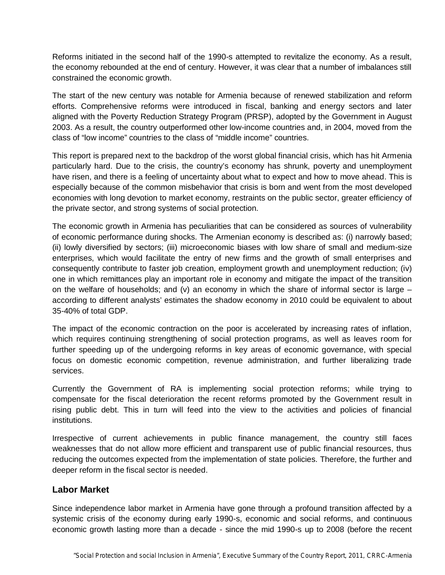Reforms initiated in the second half of the 1990-s attempted to revitalize the economy. As a result, the economy rebounded at the end of century. However, it was clear that a number of imbalances still constrained the economic growth.

The start of the new century was notable for Armenia because of renewed stabilization and reform efforts. Comprehensive reforms were introduced in fiscal, banking and energy sectors and later aligned with the Poverty Reduction Strategy Program (PRSP), adopted by the Government in August 2003. As a result, the country outperformed other low-income countries and, in 2004, moved from the class of "low income" countries to the class of "middle income" countries.

This report is prepared next to the backdrop of the worst global financial crisis, which has hit Armenia particularly hard. Due to the crisis, the country's economy has shrunk, poverty and unemployment have risen, and there is a feeling of uncertainty about what to expect and how to move ahead. This is especially because of the common misbehavior that crisis is born and went from the most developed economies with long devotion to market economy, restraints on the public sector, greater efficiency of the private sector, and strong systems of social protection.

The economic growth in Armenia has peculiarities that can be considered as sources of vulnerability of economic performance during shocks. The Armenian economy is described as: (i) narrowly based; (ii) lowly diversified by sectors; (iii) microeconomic biases with low share of small and medium-size enterprises, which would facilitate the entry of new firms and the growth of small enterprises and consequently contribute to faster job creation, employment growth and unemployment reduction; (iv) one in which remittances play an important role in economy and mitigate the impact of the transition on the welfare of households; and (v) an economy in which the share of informal sector is large  $$ according to different analysts' estimates the shadow economy in 2010 could be equivalent to about 35-40% of total GDP.

The impact of the economic contraction on the poor is accelerated by increasing rates of inflation, which requires continuing strengthening of social protection programs, as well as leaves room for further speeding up of the undergoing reforms in key areas of economic governance, with special focus on domestic economic competition, revenue administration, and further liberalizing trade services.

Currently the Government of RA is implementing social protection reforms; while trying to compensate for the fiscal deterioration the recent reforms promoted by the Government result in rising public debt. This in turn will feed into the view to the activities and policies of financial institutions.

Irrespective of current achievements in public finance management, the country still faces weaknesses that do not allow more efficient and transparent use of public financial resources, thus reducing the outcomes expected from the implementation of state policies. Therefore, the further and deeper reform in the fiscal sector is needed.

#### **Labor Market**

Since independence labor market in Armenia have gone through a profound transition affected by a systemic crisis of the economy during early 1990-s, economic and social reforms, and continuous economic growth lasting more than a decade - since the mid 1990-s up to 2008 (before the recent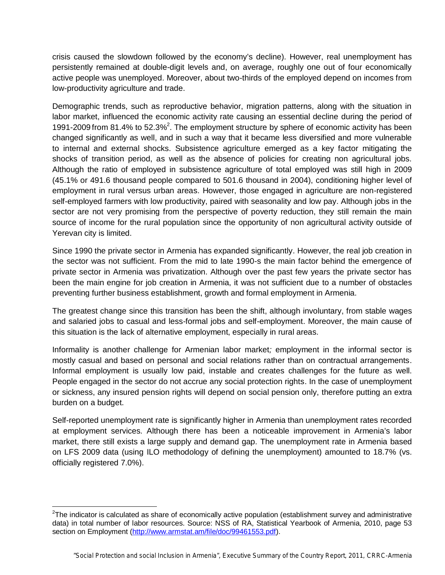crisis caused the slowdown followed by the economy's decline). However, real unemployment has persistently remained at double-digit levels and, on average, roughly one out of four economically active people was unemployed. Moreover, about two-thirds of the employed depend on incomes from low-productivity agriculture and trade.

Demographic trends, such as reproductive behavior, migration patterns, along with the situation in labor market, influenced the economic activity rate causing an essential decline during the period of 1991-2009 from 81.4% to 52.3%<sup>2</sup>. The employment structure by sphere of economic activity has been changed significantly as well, and in such a way that it became less diversified and more vulnerable to internal and external shocks. Subsistence agriculture emerged as a key factor mitigating the shocks of transition period, as well as the absence of policies for creating non agricultural jobs. Although the ratio of employed in subsistence agriculture of total employed was still high in 2009 (45.1% or 491.6 thousand people compared to 501.6 thousand in 2004), conditioning higher level of employment in rural versus urban areas. However, those engaged in agriculture are non-registered self-employed farmers with low productivity, paired with seasonality and low pay. Although jobs in the sector are not very promising from the perspective of poverty reduction, they still remain the main source of income for the rural population since the opportunity of non agricultural activity outside of Yerevan city is limited.

Since 1990 the private sector in Armenia has expanded significantly. However, the real job creation in the sector was not sufficient. From the mid to late 1990-s the main factor behind the emergence of private sector in Armenia was privatization. Although over the past few years the private sector has been the main engine for job creation in Armenia, it was not sufficient due to a number of obstacles preventing further business establishment, growth and formal employment in Armenia.

The greatest change since this transition has been the shift, although involuntary, from stable wages and salaried jobs to casual and less-formal jobs and self-employment. Moreover, the main cause of this situation is the lack of alternative employment, especially in rural areas.

Informality is another challenge for Armenian labor market*;* employment in the informal sector is mostly casual and based on personal and social relations rather than on contractual arrangements. Informal employment is usually low paid, instable and creates challenges for the future as well. People engaged in the sector do not accrue any social protection rights. In the case of unemployment or sickness, any insured pension rights will depend on social pension only, therefore putting an extra burden on a budget.

Self-reported unemployment rate is significantly higher in Armenia than unemployment rates recorded at employment services. Although there has been a noticeable improvement in Armenia's labor market, there still exists a large supply and demand gap. The unemployment rate in Armenia based on LFS 2009 data (using ILO methodology of defining the unemployment) amounted to 18.7% (vs. officially registered 7.0%).

 $\overline{\phantom{a}}$  $2$ The indicator is calculated as share of economically active population (establishment survey and administrative data) in total number of labor resources. Source: NSS of RA, Statistical Yearbook of Armenia, 2010, page 53 section on Employment (http://www.armstat.am/file/doc/99461553.pdf).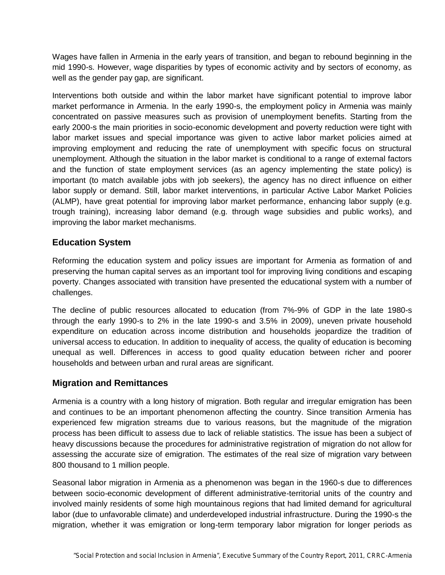Wages have fallen in Armenia in the early years of transition, and began to rebound beginning in the mid 1990-s. However, wage disparities by types of economic activity and by sectors of economy, as well as the gender pay gap, are significant.

Interventions both outside and within the labor market have significant potential to improve labor market performance in Armenia. In the early 1990-s, the employment policy in Armenia was mainly concentrated on passive measures such as provision of unemployment benefits. Starting from the early 2000-s the main priorities in socio-economic development and poverty reduction were tight with labor market issues and special importance was given to active labor market policies aimed at improving employment and reducing the rate of unemployment with specific focus on structural unemployment. Although the situation in the labor market is conditional to a range of external factors and the function of state employment services (as an agency implementing the state policy) is important (to match available jobs with job seekers), the agency has no direct influence on either labor supply or demand. Still, labor market interventions, in particular Active Labor Market Policies (ALMP), have great potential for improving labor market performance, enhancing labor supply (e.g. trough training), increasing labor demand (e.g. through wage subsidies and public works), and improving the labor market mechanisms.

## **Education System**

Reforming the education system and policy issues are important for Armenia as formation of and preserving the human capital serves as an important tool for improving living conditions and escaping poverty. Changes associated with transition have presented the educational system with a number of challenges.

The decline of public resources allocated to education (from 7%-9% of GDP in the late 1980-s through the early 1990-s to 2% in the late 1990-s and 3.5% in 2009), uneven private household expenditure on education across income distribution and households jeopardize the tradition of universal access to education. In addition to inequality of access, the quality of education is becoming unequal as well. Differences in access to good quality education between richer and poorer households and between urban and rural areas are significant.

#### **Migration and Remittances**

Armenia is a country with a long history of migration. Both regular and irregular emigration has been and continues to be an important phenomenon affecting the country. Since transition Armenia has experienced few migration streams due to various reasons, but the magnitude of the migration process has been difficult to assess due to lack of reliable statistics. The issue has been a subject of heavy discussions because the procedures for administrative registration of migration do not allow for assessing the accurate size of emigration. The estimates of the real size of migration vary between 800 thousand to 1 million people.

Seasonal labor migration in Armenia as a phenomenon was began in the 1960-s due to differences between socio-economic development of different administrative-territorial units of the country and involved mainly residents of some high mountainous regions that had limited demand for agricultural labor (due to unfavorable climate) and underdeveloped industrial infrastructure. During the 1990-s the migration, whether it was emigration or long-term temporary labor migration for longer periods as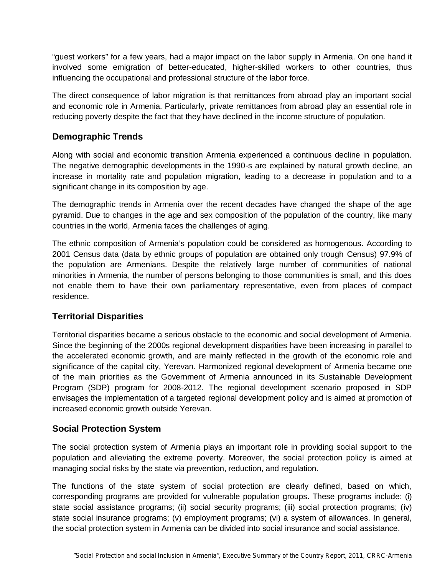"guest workers" for a few years, had a major impact on the labor supply in Armenia. On one hand it involved some emigration of better-educated, higher-skilled workers to other countries, thus influencing the occupational and professional structure of the labor force.

The direct consequence of labor migration is that remittances from abroad play an important social and economic role in Armenia. Particularly, private remittances from abroad play an essential role in reducing poverty despite the fact that they have declined in the income structure of population.

## **Demographic Trends**

Along with social and economic transition Armenia experienced a continuous decline in population. The negative demographic developments in the 1990-s are explained by natural growth decline, an increase in mortality rate and population migration, leading to a decrease in population and to a significant change in its composition by age.

The demographic trends in Armenia over the recent decades have changed the shape of the age pyramid. Due to changes in the age and sex composition of the population of the country, like many countries in the world, Armenia faces the challenges of aging.

The ethnic composition of Armenia's population could be considered as homogenous. According to 2001 Census data (data by ethnic groups of population are obtained only trough Census) 97.9% of the population are Armenians. Despite the relatively large number of communities of national minorities in Armenia, the number of persons belonging to those communities is small, and this does not enable them to have their own parliamentary representative, even from places of compact residence.

## **Territorial Disparities**

Territorial disparities became a serious obstacle to the economic and social development of Armenia. Since the beginning of the 2000s regional development disparities have been increasing in parallel to the accelerated economic growth, and are mainly reflected in the growth of the economic role and significance of the capital city, Yerevan. Harmonized regional development of Armenia became one of the main priorities as the Government of Armenia announced in its Sustainable Development Program (SDP) program for 2008-2012. The regional development scenario proposed in SDP envisages the implementation of a targeted regional development policy and is aimed at promotion of increased economic growth outside Yerevan.

## **Social Protection System**

The social protection system of Armenia plays an important role in providing social support to the population and alleviating the extreme poverty. Moreover, the social protection policy is aimed at managing social risks by the state via prevention, reduction, and regulation.

The functions of the state system of social protection are clearly defined, based on which, corresponding programs are provided for vulnerable population groups. These programs include: (i) state social assistance programs; (ii) social security programs; (iii) social protection programs; (iv) state social insurance programs; (v) employment programs; (vi) a system of allowances. In general, the social protection system in Armenia can be divided into social insurance and social assistance.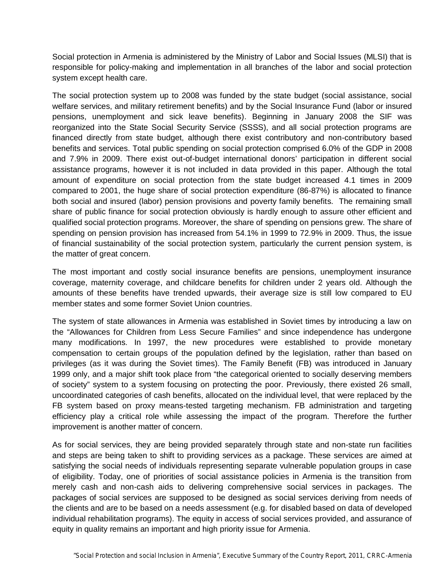Social protection in Armenia is administered by the Ministry of Labor and Social Issues (MLSI) that is responsible for policy-making and implementation in all branches of the labor and social protection system except health care.

The social protection system up to 2008 was funded by the state budget (social assistance, social welfare services, and military retirement benefits) and by the Social Insurance Fund (labor or insured pensions, unemployment and sick leave benefits). Beginning in January 2008 the SIF was reorganized into the State Social Security Service (SSSS), and all social protection programs are financed directly from state budget, although there exist contributory and non-contributory based benefits and services. Total public spending on social protection comprised 6.0% of the GDP in 2008 and 7.9% in 2009. There exist out-of-budget international donors' participation in different social assistance programs, however it is not included in data provided in this paper. Although the total amount of expenditure on social protection from the state budget increased 4.1 times in 2009 compared to 2001, the huge share of social protection expenditure (86-87%) is allocated to finance both social and insured (labor) pension provisions and poverty family benefits. The remaining small share of public finance for social protection obviously is hardly enough to assure other efficient and qualified social protection programs. Moreover, the share of spending on pensions grew. The share of spending on pension provision has increased from 54.1% in 1999 to 72.9% in 2009. Thus, the issue of financial sustainability of the social protection system, particularly the current pension system, is the matter of great concern.

The most important and costly social insurance benefits are pensions, unemployment insurance coverage, maternity coverage, and childcare benefits for children under 2 years old. Although the amounts of these benefits have trended upwards, their average size is still low compared to EU member states and some former Soviet Union countries.

The system of state allowances in Armenia was established in Soviet times by introducing a law on the "Allowances for Children from Less Secure Families" and since independence has undergone many modifications. In 1997, the new procedures were established to provide monetary compensation to certain groups of the population defined by the legislation, rather than based on privileges (as it was during the Soviet times). The Family Benefit (FB) was introduced in January 1999 only, and a major shift took place from "the categorical oriented to socially deserving members of society" system to a system focusing on protecting the poor. Previously, there existed 26 small, uncoordinated categories of cash benefits, allocated on the individual level, that were replaced by the FB system based on proxy means-tested targeting mechanism. FB administration and targeting efficiency play a critical role while assessing the impact of the program. Therefore the further improvement is another matter of concern.

As for social services, they are being provided separately through state and non-state run facilities and steps are being taken to shift to providing services as a package. These services are aimed at satisfying the social needs of individuals representing separate vulnerable population groups in case of eligibility. Today, one of priorities of social assistance policies in Armenia is the transition from merely cash and non-cash aids to delivering comprehensive social services in packages. The packages of social services are supposed to be designed as social services deriving from needs of the clients and are to be based on a needs assessment (e.g. for disabled based on data of developed individual rehabilitation programs). The equity in access of social services provided, and assurance of equity in quality remains an important and high priority issue for Armenia.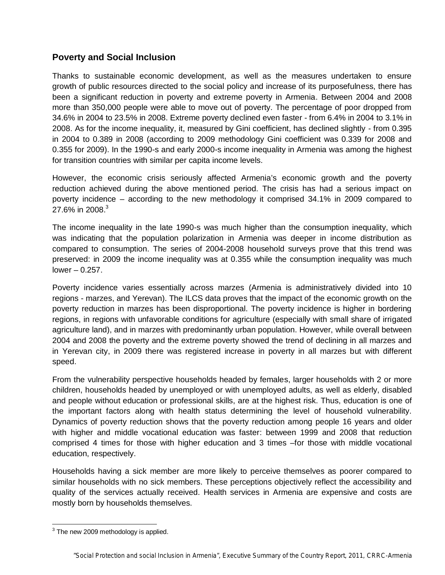#### **Poverty and Social Inclusion**

Thanks to sustainable economic development, as well as the measures undertaken to ensure growth of public resources directed to the social policy and increase of its purposefulness, there has been a significant reduction in poverty and extreme poverty in Armenia. Between 2004 and 2008 more than 350,000 people were able to move out of poverty. The percentage of poor dropped from 34.6% in 2004 to 23.5% in 2008. Extreme poverty declined even faster - from 6.4% in 2004 to 3.1% in 2008. As for the income inequality, it, measured by Gini coefficient, has declined slightly - from 0.395 in 2004 to 0.389 in 2008 (according to 2009 methodology Gini coefficient was 0.339 for 2008 and 0.355 for 2009). In the 1990-s and early 2000-s income inequality in Armenia was among the highest for transition countries with similar per capita income levels.

However, the economic crisis seriously affected Armenia's economic growth and the poverty reduction achieved during the above mentioned period. The crisis has had a serious impact on poverty incidence – according to the new methodology it comprised 34.1% in 2009 compared to 27.6% in 2008. $3$ 

The income inequality in the late 1990-s was much higher than the consumption inequality, which was indicating that the population polarization in Armenia was deeper in income distribution as compared to consumption. The series of 2004-2008 household surveys prove that this trend was preserved: in 2009 the income inequality was at 0.355 while the consumption inequality was much  $lower - 0.257$ .

Poverty incidence varies essentially across marzes (Armenia is administratively divided into 10 regions - marzes, and Yerevan). The ILCS data proves that the impact of the economic growth on the poverty reduction in marzes has been disproportional. The poverty incidence is higher in bordering regions, in regions with unfavorable conditions for agriculture (especially with small share of irrigated agriculture land), and in marzes with predominantly urban population. However, while overall between 2004 and 2008 the poverty and the extreme poverty showed the trend of declining in all marzes and in Yerevan city, in 2009 there was registered increase in poverty in all marzes but with different speed.

From the vulnerability perspective households headed by females, larger households with 2 or more children, households headed by unemployed or with unemployed adults, as well as elderly, disabled and people without education or professional skills, are at the highest risk. Thus, education is one of the important factors along with health status determining the level of household vulnerability. Dynamics of poverty reduction shows that the poverty reduction among people 16 years and older with higher and middle vocational education was faster: between 1999 and 2008 that reduction comprised 4 times for those with higher education and 3 times –for those with middle vocational education, respectively.

Households having a sick member are more likely to perceive themselves as poorer compared to similar households with no sick members. These perceptions objectively reflect the accessibility and quality of the services actually received. Health services in Armenia are expensive and costs are mostly born by households themselves.

 3 The new 2009 methodology is applied.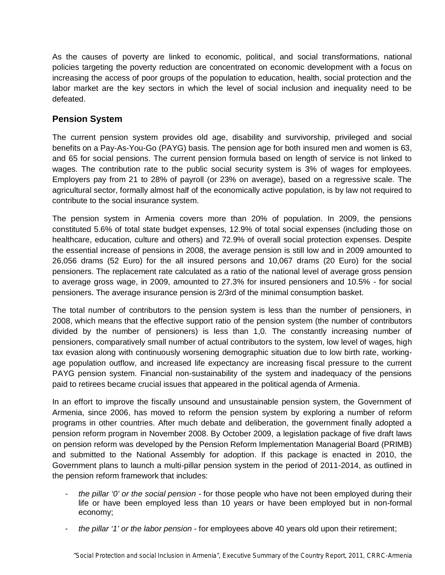As the causes of poverty are linked to economic, political, and social transformations, national policies targeting the poverty reduction are concentrated on economic development with a focus on increasing the access of poor groups of the population to education, health, social protection and the labor market are the key sectors in which the level of social inclusion and inequality need to be defeated.

#### **Pension System**

The current pension system provides old age, disability and survivorship, privileged and social benefits on a Pay-As-You-Go (PAYG) basis. The pension age for both insured men and women is 63, and 65 for social pensions. The current pension formula based on length of service is not linked to wages. The contribution rate to the public social security system is 3% of wages for employees. Employers pay from 21 to 28% of payroll (or 23% on average), based on a regressive scale. The agricultural sector, formally almost half of the economically active population, is by law not required to contribute to the social insurance system.

The pension system in Armenia covers more than 20% of population. In 2009, the pensions constituted 5.6% of total state budget expenses, 12.9% of total social expenses (including those on healthcare, education, culture and others) and 72.9% of overall social protection expenses. Despite the essential increase of pensions in 2008, the average pension is still low and in 2009 amounted to 26,056 drams (52 Euro) for the all insured persons and 10,067 drams (20 Euro) for the social pensioners. The replacement rate calculated as a ratio of the national level of average gross pension to average gross wage, in 2009, amounted to 27.3% for insured pensioners and 10.5% - for social pensioners. The average insurance pension is 2/3rd of the minimal consumption basket.

The total number of contributors to the pension system is less than the number of pensioners, in 2008, which means that the effective support ratio of the pension system (the number of contributors divided by the number of pensioners) is less than 1,0. The constantly increasing number of pensioners, comparatively small number of actual contributors to the system, low level of wages, high tax evasion along with continuously worsening demographic situation due to low birth rate, workingage population outflow, and increased life expectancy are increasing fiscal pressure to the current PAYG pension system. Financial non-sustainability of the system and inadequacy of the pensions paid to retirees became crucial issues that appeared in the political agenda of Armenia.

In an effort to improve the fiscally unsound and unsustainable pension system, the Government of Armenia, since 2006, has moved to reform the pension system by exploring a number of reform programs in other countries. After much debate and deliberation, the government finally adopted a pension reform program in November 2008. By October 2009, a legislation package of five draft laws on pension reform was developed by the Pension Reform Implementation Managerial Board (PRIMB) and submitted to the National Assembly for adoption. If this package is enacted in 2010, the Government plans to launch a multi-pillar pension system in the period of 2011-2014, as outlined in the pension reform framework that includes:

- *the pillar '0' or the social pension* for those people who have not been employed during their life or have been employed less than 10 years or have been employed but in non-formal economy;
- *the pillar '1' or the labor pension* for employees above 40 years old upon their retirement;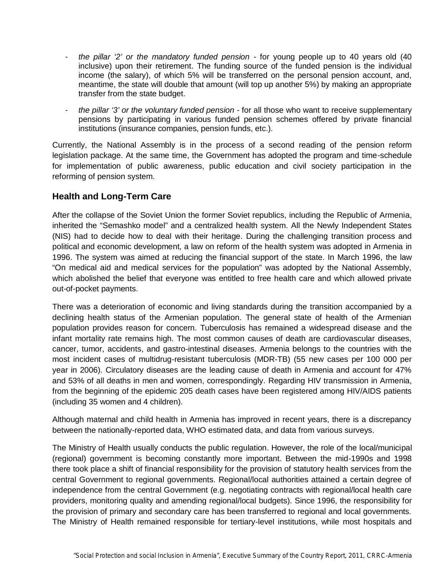- *the pillar '2' or the mandatory funded pension* for young people up to 40 years old (40 inclusive) upon their retirement. The funding source of the funded pension is the individual income (the salary), of which 5% will be transferred on the personal pension account, and, meantime, the state will double that amount (will top up another 5%) by making an appropriate transfer from the state budget.
- *the pillar '3' or the voluntary funded pension* for all those who want to receive supplementary pensions by participating in various funded pension schemes offered by private financial institutions (insurance companies, pension funds, etc.).

Currently, the National Assembly is in the process of a second reading of the pension reform legislation package. At the same time, the Government has adopted the program and time-schedule for implementation of public awareness, public education and civil society participation in the reforming of pension system.

## **Health and Long-Term Care**

After the collapse of the Soviet Union the former Soviet republics, including the Republic of Armenia, inherited the "Semashko model" and a centralized health system. All the Newly Independent States (NIS) had to decide how to deal with their heritage. During the challenging transition process and political and economic development, a law on reform of the health system was adopted in Armenia in 1996. The system was aimed at reducing the financial support of the state. In March 1996, the law "On medical aid and medical services for the population" was adopted by the National Assembly, which abolished the belief that everyone was entitled to free health care and which allowed private out-of-pocket payments.

There was a deterioration of economic and living standards during the transition accompanied by a declining health status of the Armenian population. The general state of health of the Armenian population provides reason for concern. Tuberculosis has remained a widespread disease and the infant mortality rate remains high. The most common causes of death are cardiovascular diseases, cancer, tumor, accidents, and gastro-intestinal diseases. Armenia belongs to the countries with the most incident cases of multidrug-resistant tuberculosis (MDR-TB) (55 new cases per 100 000 per year in 2006). Circulatory diseases are the leading cause of death in Armenia and account for 47% and 53% of all deaths in men and women, correspondingly. Regarding HIV transmission in Armenia, from the beginning of the epidemic 205 death cases have been registered among HIV/AIDS patients (including 35 women and 4 children).

Although maternal and child health in Armenia has improved in recent years, there is a discrepancy between the nationally-reported data, WHO estimated data, and data from various surveys.

The Ministry of Health usually conducts the public regulation. However, the role of the local/municipal (regional) government is becoming constantly more important. Between the mid-1990s and 1998 there took place a shift of financial responsibility for the provision of statutory health services from the central Government to regional governments. Regional/local authorities attained a certain degree of independence from the central Government (e.g. negotiating contracts with regional/local health care providers, monitoring quality and amending regional/local budgets). Since 1996, the responsibility for the provision of primary and secondary care has been transferred to regional and local governments. The Ministry of Health remained responsible for tertiary-level institutions, while most hospitals and